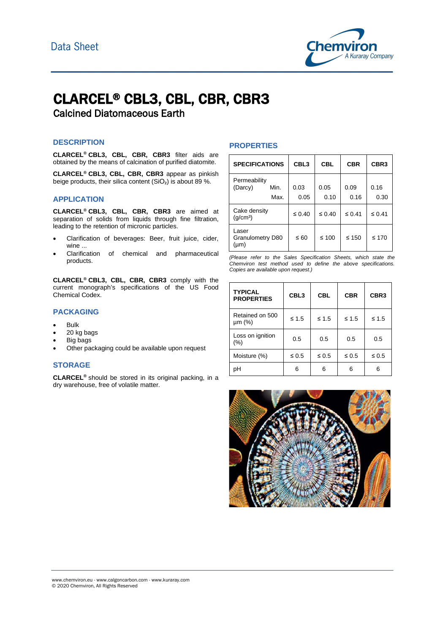

# CLARCEL® CBL3, CBL, CBR, CBR3

Calcined Diatomaceous Earth

## **DESCRIPTION**

**CLARCEL® CBL3, CBL, CBR, CBR3** filter aids are obtained by the means of calcination of purified diatomite.

**CLARCEL® CBL3, CBL, CBR, CBR3** appear as pinkish beige products, their silica content  $(SiO<sub>2</sub>)$  is about 89 %.

#### **APPLICATION**

**CLARCEL® CBL3, CBL, CBR, CBR3** are aimed at separation of solids from liquids through fine filtration, leading to the retention of micronic particles.

- Clarification of beverages: Beer, fruit juice, cider, wine ...
- Clarification of chemical and pharmaceutical products.

**CLARCEL® CBL3, CBL, CBR, CBR3** comply with the current monograph's specifications of the US Food Chemical Codex.

## **PACKAGING**

- Bulk
- 20 kg bags
- Big bags
- Other packaging could be available upon request

# **STORAGE**

**CLARCEL®** should be stored in its original packing, in a dry warehouse, free of volatile matter.

#### **PROPERTIES**

| <b>SPECIFICATIONS</b>                |              | CBL <sub>3</sub> | <b>CBL</b>   | <b>CBR</b>   | CBR <sub>3</sub> |
|--------------------------------------|--------------|------------------|--------------|--------------|------------------|
| Permeability<br>(Darcy)              | Min.<br>Max. | 0.03<br>0.05     | 0.05<br>0.10 | 0.09<br>0.16 | 0.16<br>0.30     |
| Cake density<br>(q/cm <sup>3</sup> ) |              | $\leq 0.40$      | $\leq 0.40$  | $\leq 0.41$  | $\leq 0.41$      |
| Laser<br>Granulometry D80<br>(µm)    |              | $\leq 60$        | $≤ 100$      | $\leq 150$   | $\leq 170$       |

*(Please refer to the Sales Specification Sheets, which state the Chemviron test method used to define the above specifications. Copies are available upon request.)*

| <b>TYPICAL</b><br><b>PROPERTIES</b> | CBL <sub>3</sub> | <b>CBL</b> | <b>CBR</b> | CBR <sub>3</sub> |
|-------------------------------------|------------------|------------|------------|------------------|
| Retained on 500<br>$µm$ (%)         | ≤ 1.5            | $≤ 1.5$    | ≤ 1.5      | $\leq 1.5$       |
| Loss on ignition<br>$(\% )$         | 0.5              | 0.5        | 0.5        | 0.5              |
| Moisture (%)                        | $\leq 0.5$       | $\leq 0.5$ | $\leq 0.5$ | $\leq 0.5$       |
| pН                                  | ี                | ี          | 6          | 6                |